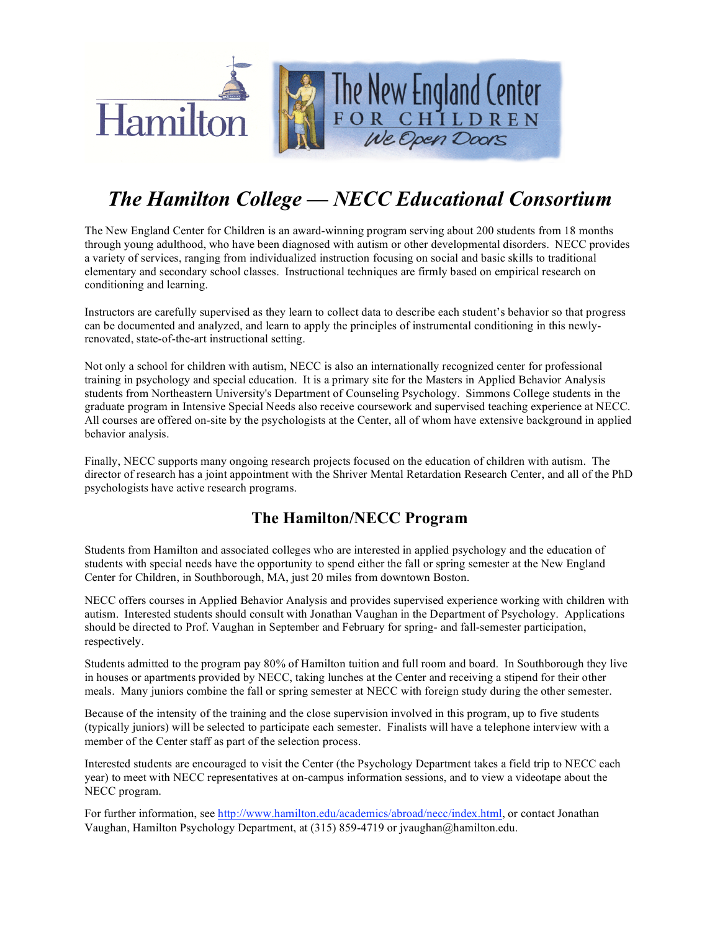

# *The Hamilton College — NECC Educational Consortium*

The New England Center for Children is an award-winning program serving about 200 students from 18 months through young adulthood, who have been diagnosed with autism or other developmental disorders. NECC provides a variety of services, ranging from individualized instruction focusing on social and basic skills to traditional elementary and secondary school classes. Instructional techniques are firmly based on empirical research on conditioning and learning.

Instructors are carefully supervised as they learn to collect data to describe each student's behavior so that progress can be documented and analyzed, and learn to apply the principles of instrumental conditioning in this newlyrenovated, state-of-the-art instructional setting.

Not only a school for children with autism, NECC is also an internationally recognized center for professional training in psychology and special education. It is a primary site for the Masters in Applied Behavior Analysis students from Northeastern University's Department of Counseling Psychology. Simmons College students in the graduate program in Intensive Special Needs also receive coursework and supervised teaching experience at NECC. All courses are offered on-site by the psychologists at the Center, all of whom have extensive background in applied behavior analysis.

Finally, NECC supports many ongoing research projects focused on the education of children with autism. The director of research has a joint appointment with the Shriver Mental Retardation Research Center, and all of the PhD psychologists have active research programs.

## **The Hamilton/NECC Program**

Students from Hamilton and associated colleges who are interested in applied psychology and the education of students with special needs have the opportunity to spend either the fall or spring semester at the New England Center for Children, in Southborough, MA, just 20 miles from downtown Boston.

NECC offers courses in Applied Behavior Analysis and provides supervised experience working with children with autism. Interested students should consult with Jonathan Vaughan in the Department of Psychology. Applications should be directed to Prof. Vaughan in September and February for spring- and fall-semester participation, respectively.

Students admitted to the program pay 80% of Hamilton tuition and full room and board. In Southborough they live in houses or apartments provided by NECC, taking lunches at the Center and receiving a stipend for their other meals. Many juniors combine the fall or spring semester at NECC with foreign study during the other semester.

Because of the intensity of the training and the close supervision involved in this program, up to five students (typically juniors) will be selected to participate each semester. Finalists will have a telephone interview with a member of the Center staff as part of the selection process.

Interested students are encouraged to visit the Center (the Psychology Department takes a field trip to NECC each year) to meet with NECC representatives at on-campus information sessions, and to view a videotape about the NECC program.

For further information, see http://www.hamilton.edu/academics/abroad/necc/index.html, or contact Jonathan Vaughan, Hamilton Psychology Department, at (315) 859-4719 or jvaughan@hamilton.edu.